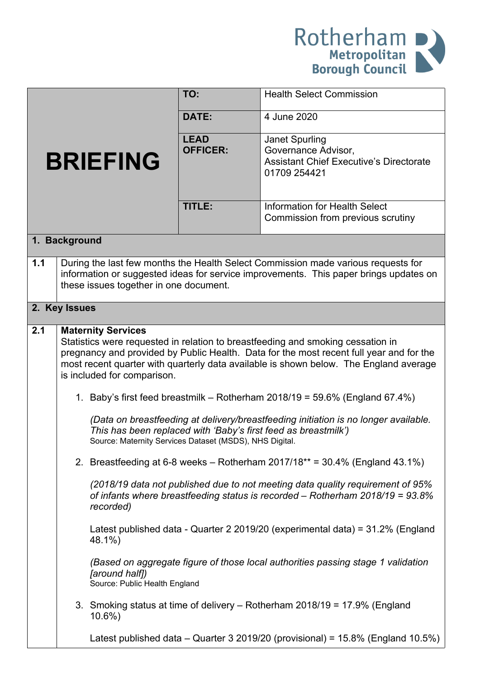

|                 |                                                                                                                                                                                                                      |                                                                                                                                                                                               | TO:                            | <b>Health Select Commission</b>                                                                                                                                                                                                                                                                                                                                                                                                                                                                                                                                                                                                                                                                                                                                                                                                                                                                                                          |  |  |
|-----------------|----------------------------------------------------------------------------------------------------------------------------------------------------------------------------------------------------------------------|-----------------------------------------------------------------------------------------------------------------------------------------------------------------------------------------------|--------------------------------|------------------------------------------------------------------------------------------------------------------------------------------------------------------------------------------------------------------------------------------------------------------------------------------------------------------------------------------------------------------------------------------------------------------------------------------------------------------------------------------------------------------------------------------------------------------------------------------------------------------------------------------------------------------------------------------------------------------------------------------------------------------------------------------------------------------------------------------------------------------------------------------------------------------------------------------|--|--|
|                 |                                                                                                                                                                                                                      | DATE:                                                                                                                                                                                         | 4 June 2020                    |                                                                                                                                                                                                                                                                                                                                                                                                                                                                                                                                                                                                                                                                                                                                                                                                                                                                                                                                          |  |  |
| <b>BRIEFING</b> |                                                                                                                                                                                                                      |                                                                                                                                                                                               | <b>LEAD</b><br><b>OFFICER:</b> | <b>Janet Spurling</b><br>Governance Advisor,<br><b>Assistant Chief Executive's Directorate</b><br>01709 254421                                                                                                                                                                                                                                                                                                                                                                                                                                                                                                                                                                                                                                                                                                                                                                                                                           |  |  |
|                 |                                                                                                                                                                                                                      |                                                                                                                                                                                               | TITLE:                         | <b>Information for Health Select</b><br>Commission from previous scrutiny                                                                                                                                                                                                                                                                                                                                                                                                                                                                                                                                                                                                                                                                                                                                                                                                                                                                |  |  |
| 1. Background   |                                                                                                                                                                                                                      |                                                                                                                                                                                               |                                |                                                                                                                                                                                                                                                                                                                                                                                                                                                                                                                                                                                                                                                                                                                                                                                                                                                                                                                                          |  |  |
| 1.1             | During the last few months the Health Select Commission made various requests for<br>information or suggested ideas for service improvements. This paper brings updates on<br>these issues together in one document. |                                                                                                                                                                                               |                                |                                                                                                                                                                                                                                                                                                                                                                                                                                                                                                                                                                                                                                                                                                                                                                                                                                                                                                                                          |  |  |
| 2. Key Issues   |                                                                                                                                                                                                                      |                                                                                                                                                                                               |                                |                                                                                                                                                                                                                                                                                                                                                                                                                                                                                                                                                                                                                                                                                                                                                                                                                                                                                                                                          |  |  |
| 2.1             |                                                                                                                                                                                                                      | <b>Maternity Services</b><br>is included for comparison.<br>Source: Maternity Services Dataset (MSDS), NHS Digital.<br>recorded)<br>48.1%)<br>[around half])<br>Source: Public Health England |                                | Statistics were requested in relation to breastfeeding and smoking cessation in<br>pregnancy and provided by Public Health. Data for the most recent full year and for the<br>most recent quarter with quarterly data available is shown below. The England average<br>1. Baby's first feed breastmilk – Rotherham $2018/19 = 59.6\%$ (England 67.4%)<br>(Data on breastfeeding at delivery/breastfeeding initiation is no longer available.<br>This has been replaced with 'Baby's first feed as breastmilk')<br>2. Breastfeeding at 6-8 weeks – Rotherham $2017/18**$ = 30.4% (England 43.1%)<br>(2018/19 data not published due to not meeting data quality requirement of 95%<br>of infants where breastfeeding status is recorded - Rotherham 2018/19 = 93.8%<br>Latest published data - Quarter 2 2019/20 (experimental data) = 31.2% (England<br>(Based on aggregate figure of those local authorities passing stage 1 validation |  |  |
|                 |                                                                                                                                                                                                                      | $10.6\%$                                                                                                                                                                                      |                                | 3. Smoking status at time of delivery – Rotherham 2018/19 = 17.9% (England                                                                                                                                                                                                                                                                                                                                                                                                                                                                                                                                                                                                                                                                                                                                                                                                                                                               |  |  |
|                 |                                                                                                                                                                                                                      |                                                                                                                                                                                               |                                | Latest published data – Quarter 3 2019/20 (provisional) = $15.8\%$ (England 10.5%)                                                                                                                                                                                                                                                                                                                                                                                                                                                                                                                                                                                                                                                                                                                                                                                                                                                       |  |  |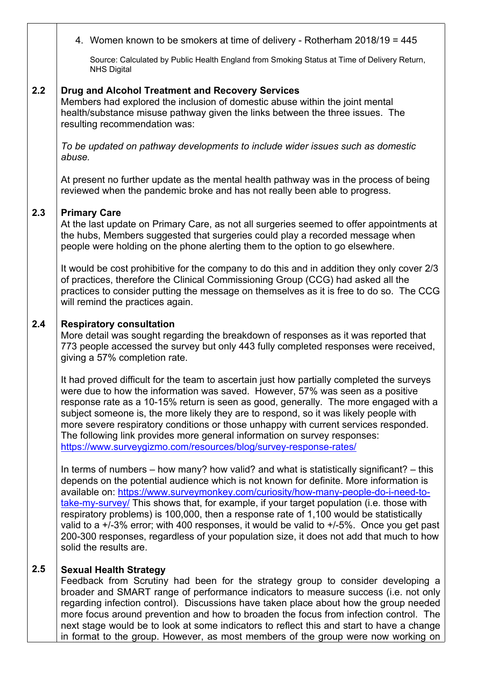|     | 4. Women known to be smokers at time of delivery - Rotherham 2018/19 = 445                                                                                                                                                                                                                                                                                                                                                                                                                                                                                                                                                                                                       |
|-----|----------------------------------------------------------------------------------------------------------------------------------------------------------------------------------------------------------------------------------------------------------------------------------------------------------------------------------------------------------------------------------------------------------------------------------------------------------------------------------------------------------------------------------------------------------------------------------------------------------------------------------------------------------------------------------|
|     | Source: Calculated by Public Health England from Smoking Status at Time of Delivery Return,<br><b>NHS Digital</b>                                                                                                                                                                                                                                                                                                                                                                                                                                                                                                                                                                |
| 2.2 | <b>Drug and Alcohol Treatment and Recovery Services</b><br>Members had explored the inclusion of domestic abuse within the joint mental<br>health/substance misuse pathway given the links between the three issues. The<br>resulting recommendation was:                                                                                                                                                                                                                                                                                                                                                                                                                        |
|     | To be updated on pathway developments to include wider issues such as domestic<br>abuse.                                                                                                                                                                                                                                                                                                                                                                                                                                                                                                                                                                                         |
|     | At present no further update as the mental health pathway was in the process of being<br>reviewed when the pandemic broke and has not really been able to progress.                                                                                                                                                                                                                                                                                                                                                                                                                                                                                                              |
| 2.3 | <b>Primary Care</b><br>At the last update on Primary Care, as not all surgeries seemed to offer appointments at<br>the hubs, Members suggested that surgeries could play a recorded message when<br>people were holding on the phone alerting them to the option to go elsewhere.                                                                                                                                                                                                                                                                                                                                                                                                |
|     | It would be cost prohibitive for the company to do this and in addition they only cover 2/3<br>of practices, therefore the Clinical Commissioning Group (CCG) had asked all the<br>practices to consider putting the message on themselves as it is free to do so. The CCG<br>will remind the practices again.                                                                                                                                                                                                                                                                                                                                                                   |
| 2.4 | <b>Respiratory consultation</b><br>More detail was sought regarding the breakdown of responses as it was reported that<br>773 people accessed the survey but only 443 fully completed responses were received,<br>giving a 57% completion rate.                                                                                                                                                                                                                                                                                                                                                                                                                                  |
|     | It had proved difficult for the team to ascertain just how partially completed the surveys<br>were due to how the information was saved. However, 57% was seen as a positive<br>response rate as a 10-15% return is seen as good, generally. The more engaged with a<br>subject someone is, the more likely they are to respond, so it was likely people with<br>more severe respiratory conditions or those unhappy with current services responded.<br>The following link provides more general information on survey responses:<br>https://www.surveygizmo.com/resources/blog/survey-response-rates/                                                                          |
|     | In terms of numbers – how many? how valid? and what is statistically significant? – this<br>depends on the potential audience which is not known for definite. More information is<br>available on: https://www.surveymonkey.com/curiosity/how-many-people-do-i-need-to-<br>take-my-survey/ This shows that, for example, if your target population (i.e. those with<br>respiratory problems) is 100,000, then a response rate of 1,100 would be statistically<br>valid to a +/-3% error; with 400 responses, it would be valid to +/-5%. Once you get past<br>200-300 responses, regardless of your population size, it does not add that much to how<br>solid the results are. |
| 2.5 | <b>Sexual Health Strategy</b><br>Feedback from Scrutiny had been for the strategy group to consider developing a<br>broader and SMART range of performance indicators to measure success (i.e. not only<br>regarding infection control). Discussions have taken place about how the group needed<br>more focus around prevention and how to broaden the focus from infection control. The<br>next stage would be to look at some indicators to reflect this and start to have a change<br>in format to the group. However, as most members of the group were now working on                                                                                                      |